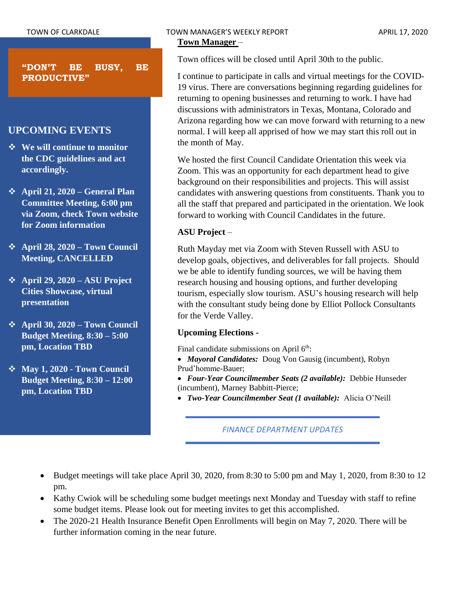**"DON'T BE BUSY, BE PRODUCTIVE"**

# **UPCOMING EVENTS**

- ❖ **We will continue to monitor the CDC guidelines and act accordingly.**
- ❖ **April 21, 2020 – General Plan Committee Meeting, 6:00 pm via Zoom, check Town website for Zoom information**
- ❖ **April 28, 2020 – Town Council Meeting, CANCELLED**
- ❖ **April 29, 2020 – ASU Project Cities Showcase, virtual presentation**
- ❖ **April 30, 2020 – Town Council Budget Meeting, 8:30 – 5:00 pm, Location TBD**
- ❖ **May 1, 2020 - Town Council Budget Meeting, 8:30 – 12:00 pm, Location TBD**

Town offices will be closed until April 30th to the public.

I continue to participate in calls and virtual meetings for the COVID-19 virus. There are conversations beginning regarding guidelines for returning to opening businesses and returning to work. I have had discussions with administrators in Texas, Montana, Colorado and Arizona regarding how we can move forward with returning to a new normal. I will keep all apprised of how we may start this roll out in the month of May.

We hosted the first Council Candidate Orientation this week via Zoom. This was an opportunity for each department head to give background on their responsibilities and projects. This will assist candidates with answering questions from constituents. Thank you to all the staff that prepared and participated in the orientation. We look forward to working with Council Candidates in the future.

# **ASU Project** –

Ruth Mayday met via Zoom with Steven Russell with ASU to develop goals, objectives, and deliverables for fall projects. Should we be able to identify funding sources, we will be having them research housing and housing options, and further developing tourism, especially slow tourism. ASU's housing research will help with the consultant study being done by Elliot Pollock Consultants for the Verde Valley.

# **Upcoming Elections -**

Final candidate submissions on April  $6<sup>th</sup>$ :

- *Mayoral Candidates:* Doug Von Gausig (incumbent), Robyn Prud'homme-Bauer;
- *Four-Year Councilmember Seats (2 available):* Debbie Hunseder (incumbent), Marney Babbitt-Pierce;
- *Two-Year Councilmember Seat (1 available):* Alicia O'Neill

# *FINANCE DEPARTMENT UPDATES*

- Budget meetings will take place April 30, 2020, from 8:30 to 5:00 pm and May 1, 2020, from 8:30 to 12 pm.
- Kathy Cwiok will be scheduling some budget meetings next Monday and Tuesday with staff to refine some budget items. Please look out for meeting invites to get this accomplished.
- The 2020-21 Health Insurance Benefit Open Enrollments will begin on May 7, 2020. There will be further information coming in the near future.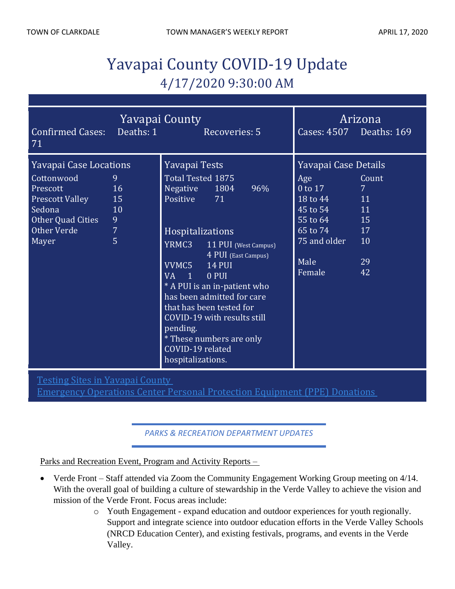# Yavapai County COVID-19 Update 4/17/2020 9:30:00 AM

| Yavapai County<br>Deaths: 1<br><b>Confirmed Cases:</b><br>71                                                                                                                                             | Recoveries: 5                                                                                                                                                                                                                                                                                                                                                                                                | Cases: 4507 Deaths: 169                                                                                                                                                         | Arizona                                   |
|----------------------------------------------------------------------------------------------------------------------------------------------------------------------------------------------------------|--------------------------------------------------------------------------------------------------------------------------------------------------------------------------------------------------------------------------------------------------------------------------------------------------------------------------------------------------------------------------------------------------------------|---------------------------------------------------------------------------------------------------------------------------------------------------------------------------------|-------------------------------------------|
| <b>Yavapai Case Locations</b><br>Cottonwood<br>9<br>16<br>Prescott<br><b>Prescott Valley</b><br>15<br>Sedona<br>10<br>Other Quad Cities<br>9<br>$\overline{7}$<br>Other Verde<br>$\overline{5}$<br>Mayer | Yavapai Tests<br>Total Tested 1875<br>Negative 1804<br>96%<br>Positive<br>71<br>Hospitalizations<br>YRMC3 11 PUI (West Campus)<br>4 PUI (East Campus)<br>VVMC5<br><b>14 PUI</b><br>$VA$ 1<br>0 PUI<br>* A PUI is an in-patient who<br>has been admitted for care<br>that has been tested for<br>COVID-19 with results still<br>pending.<br>* These numbers are only<br>COVID-19 related<br>hospitalizations. | Yavapai Case Details<br>Age<br>$0$ to $17$<br>18 to 44 11<br>$\overline{45}$ to 54 $\overline{11}$<br>$\overline{55}$ to 64 15<br>65 to 74 17<br>75 and older<br>Male<br>Female | Count<br>7 <sup>7</sup><br>10<br>29<br>42 |

Testing Sites in [Yavapai](http://www.yavapai.us/Portals/39/Testing%20Sites%20in%20Yavapai%20County.pdf) County

[Emergency](http://www.yavapai.us/Portals/39/PPE%20Donations.pdf) Operations Center Personal Protection Equipment (PPE) Donations

*PARKS & RECREATION DEPARTMENT UPDATES*

Parks and Recreation Event, Program and Activity Reports –

- Verde Front Staff attended via Zoom the Community Engagement Working Group meeting on 4/14. With the overall goal of building a culture of stewardship in the Verde Valley to achieve the vision and mission of the Verde Front. Focus areas include:
	- o Youth Engagement expand education and outdoor experiences for youth regionally. Support and integrate science into outdoor education efforts in the Verde Valley Schools (NRCD Education Center), and existing festivals, programs, and events in the Verde Valley.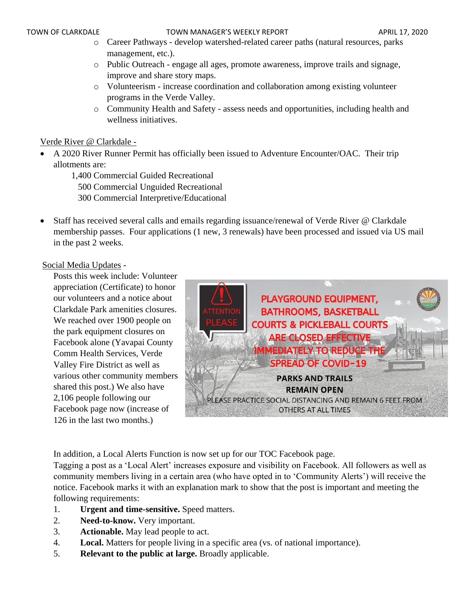- o Career Pathways develop watershed-related career paths (natural resources, parks management, etc.).
- o Public Outreach engage all ages, promote awareness, improve trails and signage, improve and share story maps.
- o Volunteerism increase coordination and collaboration among existing volunteer programs in the Verde Valley.
- o Community Health and Safety assess needs and opportunities, including health and wellness initiatives.

# Verde River @ Clarkdale -

• A 2020 River Runner Permit has officially been issued to Adventure Encounter/OAC. Their trip allotments are:

1,400 Commercial Guided Recreational 500 Commercial Unguided Recreational 300 Commercial Interpretive/Educational

• Staff has received several calls and emails regarding issuance/renewal of Verde River @ Clarkdale membership passes. Four applications (1 new, 3 renewals) have been processed and issued via US mail in the past 2 weeks.

# Social Media Updates -

Posts this week include: Volunteer appreciation (Certificate) to honor our volunteers and a notice about Clarkdale Park amenities closures. We reached over 1900 people on the park equipment closures on Facebook alone (Yavapai County Comm Health Services, Verde Valley Fire District as well as various other community members shared this post.) We also have 2,106 people following our Facebook page now (increase of 126 in the last two months.)



In addition, a Local Alerts Function is now set up for our TOC Facebook page.

Tagging a post as a 'Local Alert' increases exposure and visibility on Facebook. All followers as well as community members living in a certain area (who have opted in to 'Community Alerts') will receive the notice. Facebook marks it with an explanation mark to show that the post is important and meeting the following requirements:

- 1. **Urgent and time-sensitive.** Speed matters.
- 2. **Need-to-know.** Very important.
- 3. **Actionable.** May lead people to act.
- 4. **Local.** Matters for people living in a specific area (vs. of national importance).
- 5. **Relevant to the public at large.** Broadly applicable.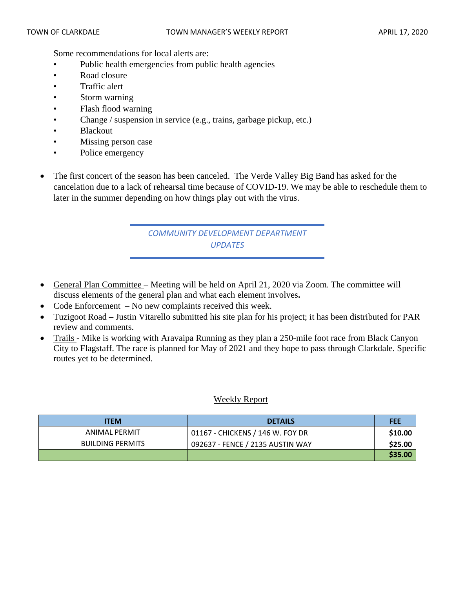Some recommendations for local alerts are:

- Public health emergencies from public health agencies
- Road closure
- Traffic alert
- Storm warning
- Flash flood warning
- Change / suspension in service (e.g., trains, garbage pickup, etc.)
- Blackout
- Missing person case
- Police emergency
- The first concert of the season has been canceled. The Verde Valley Big Band has asked for the cancelation due to a lack of rehearsal time because of COVID-19. We may be able to reschedule them to later in the summer depending on how things play out with the virus.

# *COMMUNITY DEVELOPMENT DEPARTMENT UPDATES*

- General Plan Committee Meeting will be held on April 21, 2020 via Zoom. The committee will discuss elements of the general plan and what each element involves**.**
- Code Enforcement No new complaints received this week.
- Tuzigoot Road **–** Justin Vitarello submitted his site plan for his project; it has been distributed for PAR review and comments.
- Trails Mike is working with Aravaipa Running as they plan a 250-mile foot race from Black Canyon City to Flagstaff. The race is planned for May of 2021 and they hope to pass through Clarkdale. Specific routes yet to be determined.

# Weekly Report

| <b>ITEM</b>             | <b>DETAILS</b>                   | <b>FEE</b> |
|-------------------------|----------------------------------|------------|
| ANIMAL PERMIT           | 01167 - CHICKENS / 146 W. FOY DR | \$10.00    |
| <b>BUILDING PERMITS</b> | 092637 - FENCE / 2135 AUSTIN WAY | \$25.00    |
|                         |                                  | \$35.00    |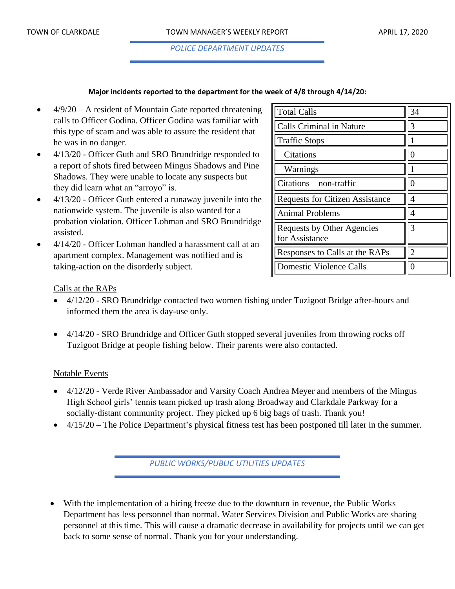*POLICE DEPARTMENT UPDATES*

#### **Major incidents reported to the department for the week of 4/8 through 4/14/20:**

- $4/9/20 A$  resident of Mountain Gate reported threatening calls to Officer Godina. Officer Godina was familiar with this type of scam and was able to assure the resident that he was in no danger.
- 4/13/20 Officer Guth and SRO Brundridge responded to a report of shots fired between Mingus Shadows and Pine Shadows. They were unable to locate any suspects but they did learn what an "arroyo" is.
- 4/13/20 Officer Guth entered a runaway juvenile into the nationwide system. The juvenile is also wanted for a probation violation. Officer Lohman and SRO Brundridge assisted.
- 4/14/20 Officer Lohman handled a harassment call at an apartment complex. Management was notified and is taking-action on the disorderly subject.

| <b>Total Calls</b>                           | 34                |
|----------------------------------------------|-------------------|
| Calls Criminal in Nature                     | 3                 |
| <b>Traffic Stops</b>                         |                   |
| Citations                                    |                   |
| Warnings                                     |                   |
| Citations – non-traffic                      | $\mathbf{\Omega}$ |
| <b>Requests for Citizen Assistance</b>       |                   |
| <b>Animal Problems</b>                       |                   |
| Requests by Other Agencies<br>for Assistance | 3                 |
| Responses to Calls at the RAPs               | $\mathcal{D}$     |
| Domestic Violence Calls                      |                   |

# Calls at the RAPs

- 4/12/20 SRO Brundridge contacted two women fishing under Tuzigoot Bridge after-hours and informed them the area is day-use only.
- 4/14/20 SRO Brundridge and Officer Guth stopped several juveniles from throwing rocks off Tuzigoot Bridge at people fishing below. Their parents were also contacted.

#### Notable Events

- 4/12/20 Verde River Ambassador and Varsity Coach Andrea Meyer and members of the Mingus High School girls' tennis team picked up trash along Broadway and Clarkdale Parkway for a socially-distant community project. They picked up 6 big bags of trash. Thank you!
- 4/15/20 The Police Department's physical fitness test has been postponed till later in the summer.

*PUBLIC WORKS/PUBLIC UTILITIES UPDATES*

• With the implementation of a hiring freeze due to the downturn in revenue, the Public Works Department has less personnel than normal. Water Services Division and Public Works are sharing personnel at this time. This will cause a dramatic decrease in availability for projects until we can get back to some sense of normal. Thank you for your understanding.